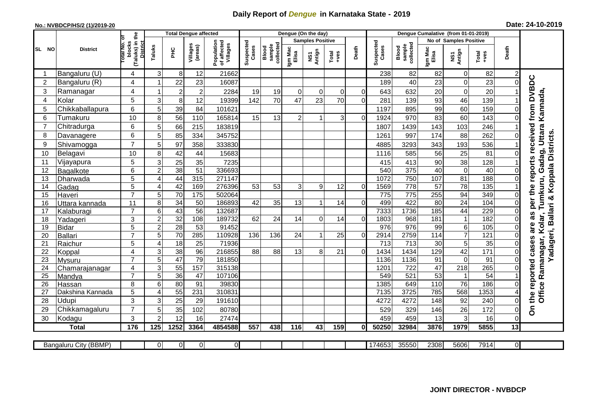## **Daily Report of** *Dengue* **in Karnataka State - 2019**

## **No.: NVBDCP/HS/2 (1)/2019-20 Date: 24-10-2019**

|                |                            |                                                       |                |                 | <b>Total Dengue affected</b> |                                       | Dengue (On the day) |                              |                  |                         |          |                |                    | Dengue Cumalative (from 01-01-2019) |                                    |                        |                        |                     |                                       |  |
|----------------|----------------------------|-------------------------------------------------------|----------------|-----------------|------------------------------|---------------------------------------|---------------------|------------------------------|------------------|-------------------------|----------|----------------|--------------------|-------------------------------------|------------------------------------|------------------------|------------------------|---------------------|---------------------------------------|--|
|                |                            |                                                       |                |                 |                              |                                       |                     |                              |                  | <b>Samples Positive</b> |          |                |                    |                                     |                                    | No of Samples Positive |                        |                     |                                       |  |
| SL NO          | <b>District</b>            | (Taluks) in the<br>Total No. of<br>blocks<br>District | Taluks         | нc              | Villages<br>(areas)          | Population<br>of affected<br>Villages | Suspected<br>Cases  | sample<br>collected<br>Blood | Igm Mac<br>Elisa | NS1<br>Antign           | $Total$  | Death          | Suspected<br>Cases | collected<br>sample<br>Blood        | Igm Mac<br>Elisa                   | Antign<br>Σń           | $Tota$<br>$+ves$       | Death               |                                       |  |
| -1             | Bangaluru (U)              | 4                                                     | 3              | 8               | 12                           | 21662                                 |                     |                              |                  |                         |          |                | 238                | 82                                  | 82                                 | 0                      | 82                     | $\overline{c}$      |                                       |  |
| $\overline{2}$ | Bangaluru (R)              | 4                                                     |                | 22              | 23                           | 16087                                 |                     |                              |                  |                         |          |                | 189                | 40                                  | 23                                 | $\mathsf 0$            | 23                     | $\mathbf 0$         |                                       |  |
| 3              | Ramanagar                  | 4                                                     |                | $\overline{2}$  | $\overline{2}$               | 2284                                  | 19                  | 19                           | $\Omega$         | $\Omega$                | $\Omega$ | $\Omega$       | 643                | 632                                 | 20                                 | $\mathbf 0$            | 20                     |                     | received from DVBDC                   |  |
| 4              | Kolar                      | 5                                                     | 3              | $\,8\,$         | 12                           | 19399                                 | 142                 | 70                           | 47               | 23                      | 70       | $\Omega$       | 281                | 139                                 | 93                                 | 46                     | 139                    |                     |                                       |  |
| 5              | Chikkaballapura            | 6                                                     | 5              | 39              | 84                           | 101621                                |                     |                              |                  |                         |          |                | 1197               | 895                                 | 99                                 | 60                     | 159                    | $\mathbf 0$         | Tumkuru, Gadag, Uttara Kannada,       |  |
| 6              | Tumakuru                   | 10                                                    | 8              | 56              | 110                          | 165814                                | 15                  | 13                           | $\overline{2}$   |                         | 3        | $\Omega$       | 1924               | 970                                 | 83                                 | 60                     | 143                    | $\mathbf 0$         |                                       |  |
| $\overline{7}$ | Chitradurga                | 6                                                     | 5              | 66              | 215                          | 183819                                |                     |                              |                  |                         |          |                | 1807               | 1439                                | 143                                | 103                    | 246                    |                     |                                       |  |
| 8              | Davanagere                 | 6                                                     | 5              | 85              | 334                          | 345752                                |                     |                              |                  |                         |          |                | 1261               | 997                                 | 174                                | 88                     | 262                    | $\mathbf 0$         |                                       |  |
| 9              | Shivamogga                 | $\overline{7}$                                        | 5              | 97              | 358                          | 333830                                |                     |                              |                  |                         |          |                | 4885               | 3293                                | 343                                | 193                    | 536                    |                     | Yadageri, Ballari & Koppala Districts |  |
| 10             | Belagavi                   | 10                                                    | 8              | 42              | 44                           | 15683                                 |                     |                              |                  |                         |          |                | 1116               | 585                                 | 56                                 | 25                     | 81                     | $\mathbf 0$         |                                       |  |
| 11             | Vijayapura                 | 5                                                     | 3              | 25              | 35                           | 7235                                  |                     |                              |                  |                         |          |                | 415                | 413                                 | 90                                 | 38                     | 128                    |                     | per the reports                       |  |
| 12             | Bagalkote                  | 6                                                     | $\overline{c}$ | 38              | $\overline{51}$              | 336693                                |                     |                              |                  |                         |          |                | 540                | 375                                 | 40                                 | $\overline{0}$         | 40                     | $\mathbf 0$         |                                       |  |
| 13             | Dharwada                   | 5                                                     | ⊿              | 44              | 315                          | 271147                                |                     |                              |                  |                         |          |                | 1072               | 750                                 | 107                                | 81                     | 188                    | $\mathbf 0$         |                                       |  |
| 14             | Gadag                      | 5                                                     | 4              | 42              | 169                          | 276396                                | 53                  | 53                           | 3                | 9                       | 12       | $\Omega$       | 1569               | $\overline{778}$                    | 57                                 | $\overline{78}$        | 135                    |                     |                                       |  |
| 15             | Haveri                     | $\overline{7}$                                        | 5              | 70              | 175                          | 502064                                |                     |                              |                  |                         |          |                | 775                | 775                                 | 255                                | 94                     | 349                    | $\mathsf{O}\xspace$ |                                       |  |
| 16             | Uttara kannada             | 11                                                    | 8              | $\overline{34}$ | 50                           | 186893                                | 42                  | 35                           | 13               | 1                       | 14       | $\Omega$       | 499                | 422                                 | 80                                 | $\overline{24}$        | 104                    | $\mathbf 0$         |                                       |  |
| 17             | Kalaburagi                 | $\overline{7}$                                        | 6              | 43              | 56                           | 132687                                |                     |                              |                  |                         |          |                | 7333               | 1736                                | 185                                | 44                     | 229                    | $\mathbf 0$         | as                                    |  |
| 18             | Yadageri                   | 3                                                     | $\overline{c}$ | 32              | 108                          | 189732                                | 62                  | 24                           | 14               | $\Omega$                | 14       | $\Omega$       | 1803               | 968                                 | 181                                | $\mathbf{1}$           | 182                    | $\Omega$            |                                       |  |
| 19             | <b>Bidar</b>               | 5                                                     | $\overline{c}$ | 28              | 53                           | 91452                                 |                     |                              |                  |                         |          |                | 976                | 976                                 | 99                                 | $\overline{6}$         | 105                    | $\mathbf 0$         | Kolar,<br>are                         |  |
| 20             | <b>Ballari</b>             | $\overline{7}$                                        | 5              | 70              | 285                          | 110928                                | 136                 | 136                          | 24               |                         | 25       | $\Omega$       | 2914               | 2759                                | 114                                | $\overline{7}$         | 121                    | $\Omega$            | w                                     |  |
| 21             | Raichur                    | 5                                                     | $\overline{A}$ | $\overline{18}$ | $\overline{25}$              | 71936                                 |                     |                              |                  |                         |          |                | 713                | $\overline{713}$                    | $\overline{30}$                    | $\overline{5}$         | 35                     | 0                   | case                                  |  |
| 22             | Koppal                     | 4                                                     | 3              | $\overline{38}$ | 96                           | 216855                                | 88                  | 88                           | 13               | 8                       | 21       | $\overline{0}$ | 1434               | 1434                                | 129                                | 42                     | 171                    | $\mathsf{O}\xspace$ |                                       |  |
| 23             | Mysuru                     | $\overline{7}$                                        | 5              | $\overline{47}$ | $\overline{79}$              | 181850                                |                     |                              |                  |                         |          |                | 1136               | 1136                                | $\overline{91}$                    | $\mathbf 0$            | 91                     | $\mathbf 0$         |                                       |  |
| 24             | Chamarajanagar             | 4<br>$\overline{7}$                                   | 3<br>5         | 55              | 157                          | 315138<br>107106                      |                     |                              |                  |                         |          |                | 1201               | 722                                 | $\overline{47}$<br>$\overline{53}$ | 218                    | 265<br>$\overline{54}$ | $\mathbf 0$         |                                       |  |
| 25<br>26       | Mandya                     | 8                                                     | 6              | 36<br>80        | 47<br>91                     | 39830                                 |                     |                              |                  |                         |          |                | 549<br>1385        | 521<br>649                          | 110                                | $\overline{1}$<br>76   | 186                    | $\pmb{0}$           | reported                              |  |
| 27             | Hassan<br>Dakshina Kannada | 5                                                     | ⊿              | 55              | 231                          | 310831                                |                     |                              |                  |                         |          |                | 7135               | 3725                                | 785                                | 568                    | 1353                   | $\overline{4}$      |                                       |  |
| 28             | Udupi                      | 3                                                     | 3              | 25              | 29                           | 191610                                |                     |                              |                  |                         |          |                | 4272               | 4272                                | 148                                | 92                     | 240                    | $\mathbf 0$         | Office Ramanagar,<br>the              |  |
| 29             | Chikkamagaluru             | $\overline{7}$                                        | 5              | 35              | 102                          | 80780                                 |                     |                              |                  |                         |          |                | 529                | 329                                 | 146                                | 26                     | 172                    | $\mathsf{O}\xspace$ | င်္                                   |  |
| 30             | Kodagu                     | 3                                                     | 2              | 12              | 16                           | 27474                                 |                     |                              |                  |                         |          |                | 459                | 459                                 | 13                                 | $\mathbf{3}$           | 16                     | $\mathsf{O}\xspace$ |                                       |  |
|                | <b>Total</b>               | 176                                                   | 125            | 1252            | 3364                         | 4854588                               | 557                 | 438                          | 116              | 43                      | 159      | 0              | 50250              | 32984                               | 3876                               | 1979                   | 5855                   | 13                  |                                       |  |
|                |                            |                                                       |                |                 |                              |                                       |                     |                              |                  |                         |          |                |                    |                                     |                                    |                        |                        |                     |                                       |  |
|                | Bangaluru City (BBMP)      |                                                       | $\Omega$       | $\Omega$        | $\mathbf 0$                  | $\Omega$                              |                     |                              |                  |                         |          |                | 174653             | 35550                               | 2308                               | 5606                   | 7914                   | $\overline{0}$      |                                       |  |